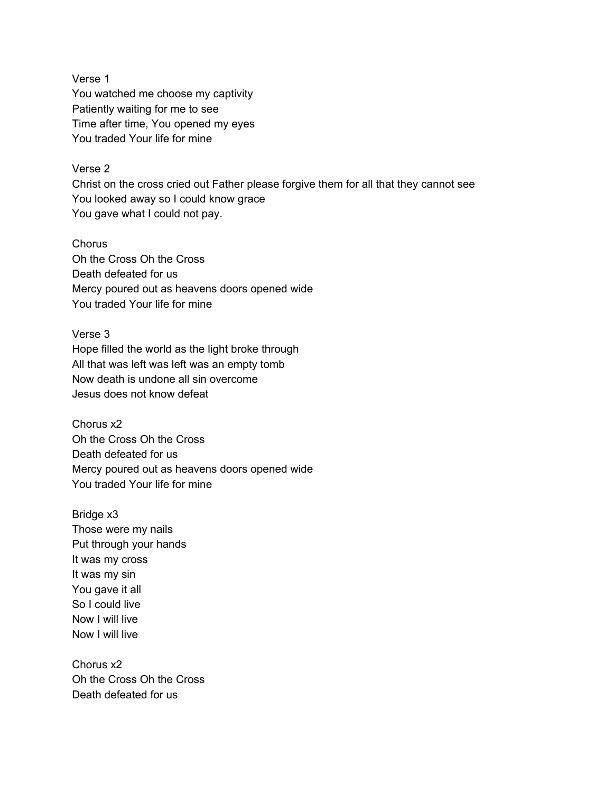Verse 1 You watched me choose my captivity Patiently waiting for me to see Time after time, You opened my eyes You traded Your life for mine

## Verse 2

Christ on the cross cried out Father please forgive them for all that they cannot see You looked away so I could know grace You gave what I could not pay.

Chorus Oh the Cross Oh the Cross Death defeated for us Mercy poured out as heavens doors opened wide You traded Your life for mine

Verse 3 Hope filled the world as the light broke through All that was left was left was an empty tomb Now death is undone all sin overcome Jesus does not know defeat

Chorus x2 Oh the Cross Oh the Cross Death defeated for us Mercy poured out as heavens doors opened wide You traded Your life for mine

Bridge x3 Those were my nails Put through your hands It was my cross It was my sin You gave it all So I could live Now I will live Now I will live

Chorus x2 Oh the Cross Oh the Cross Death defeated for us